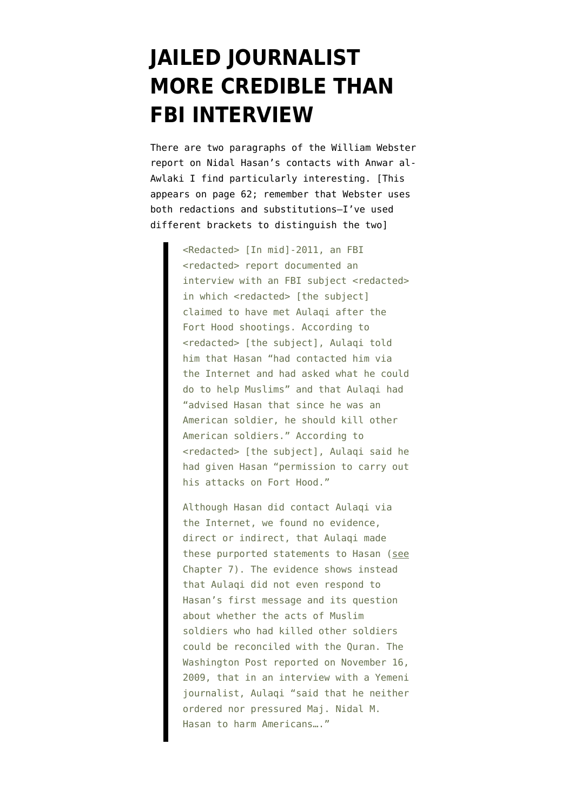## **[JAILED JOURNALIST](https://www.emptywheel.net/2012/07/20/jailed-journalist-more-credible-than-fbi-interview/) [MORE CREDIBLE THAN](https://www.emptywheel.net/2012/07/20/jailed-journalist-more-credible-than-fbi-interview/) [FBI INTERVIEW](https://www.emptywheel.net/2012/07/20/jailed-journalist-more-credible-than-fbi-interview/)**

There are two paragraphs of the [William Webster](http://www.emptywheel.net/2012/07/19/the-william-webster-report-working-thread/) [report](http://www.emptywheel.net/2012/07/19/the-william-webster-report-working-thread/) on Nidal Hasan's contacts with Anwar al-Awlaki I find particularly interesting. [This appears on page 62; remember that Webster uses both redactions and substitutions–I've used different brackets to distinguish the two]

> <Redacted> [In mid]-2011, an FBI <redacted> report documented an interview with an FBI subject <redacted> in which <redacted> [the subject] claimed to have met Aulaqi after the Fort Hood shootings. According to <redacted> [the subject], Aulaqi told him that Hasan "had contacted him via the Internet and had asked what he could do to help Muslims" and that Aulaqi had "advised Hasan that since he was an American soldier, he should kill other American soldiers." According to <redacted> [the subject], Aulaqi said he had given Hasan "permission to carry out his attacks on Fort Hood."

> Although Hasan did contact Aulaqi via the Internet, we found no evidence, direct or indirect, that Aulaqi made these purported statements to Hasan (see Chapter 7). The evidence shows instead that Aulaqi did not even respond to Hasan's first message and its question about whether the acts of Muslim soldiers who had killed other soldiers could be reconciled with the Quran. The Washington Post reported on November 16, 2009, that in an interview with a Yemeni journalist, Aulaqi "said that he neither ordered nor pressured Maj. Nidal M. Hasan to harm Americans…."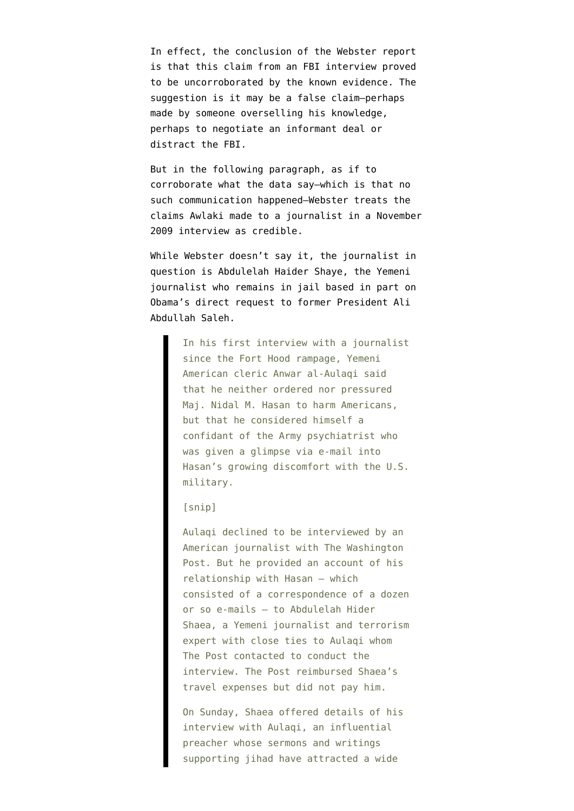In effect, the conclusion of the Webster report is that this claim from an FBI interview proved to be uncorroborated by the known evidence. The suggestion is it may be a false claim–perhaps made by someone overselling his knowledge, perhaps to negotiate an informant deal or distract the FBI.

But in the following paragraph, as if to corroborate what the data say–which is that no such communication happened–Webster treats the claims Awlaki made to a journalist in a November 2009 interview as credible.

While Webster doesn't say it, the [journalist in](http://www.washingtonpost.com/wp-dyn/content/article/2009/11/15/AR2009111503160.html?sid=ST2009111503315) [question](http://www.washingtonpost.com/wp-dyn/content/article/2009/11/15/AR2009111503160.html?sid=ST2009111503315) is Abdulelah Haider Shaye, the Yemeni journalist who [remains in jail based in part on](http://www.emptywheel.net/2012/03/13/what-is-government-covering-up-with-imprisonment-of-yemeni-journalist/) [Obama's direct request](http://www.emptywheel.net/2012/03/13/what-is-government-covering-up-with-imprisonment-of-yemeni-journalist/) to former President Ali Abdullah Saleh.

> In his first interview with a journalist since the Fort Hood rampage, Yemeni American cleric Anwar al-Aulaqi said that he neither ordered nor pressured Maj. Nidal M. Hasan to harm Americans, but that he considered himself a confidant of the Army psychiatrist who was given a glimpse via e-mail into Hasan's growing discomfort with the U.S. military.

## [snip]

Aulaqi declined to be interviewed by an American journalist with The Washington Post. But he provided an account of his relationship with Hasan — which consisted of a correspondence of a dozen or so e-mails — to Abdulelah Hider Shaea, a Yemeni journalist and terrorism expert with close ties to Aulaqi whom The Post contacted to conduct the interview. The Post reimbursed Shaea's travel expenses but did not pay him.

On Sunday, Shaea offered details of his interview with Aulaqi, an influential preacher whose sermons and writings supporting jihad have attracted a wide